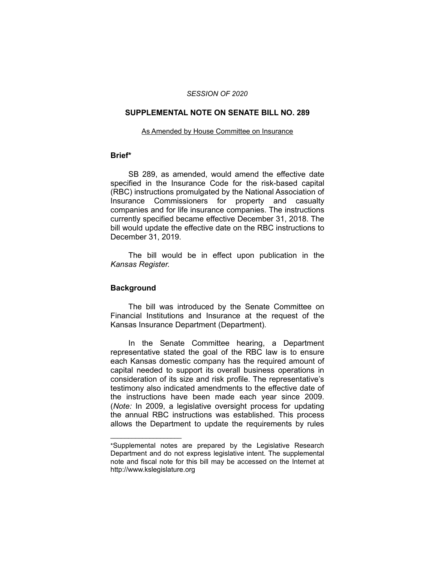## *SESSION OF 2020*

## **SUPPLEMENTAL NOTE ON SENATE BILL NO. 289**

#### As Amended by House Committee on Insurance

# **Brief\***

SB 289, as amended, would amend the effective date specified in the Insurance Code for the risk-based capital (RBC) instructions promulgated by the National Association of Insurance Commissioners for property and casualty companies and for life insurance companies. The instructions currently specified became effective December 31, 2018. The bill would update the effective date on the RBC instructions to December 31, 2019.

The bill would be in effect upon publication in the *Kansas Register.*

## **Background**

 $\overline{\phantom{a}}$  , where  $\overline{\phantom{a}}$  , where  $\overline{\phantom{a}}$ 

The bill was introduced by the Senate Committee on Financial Institutions and Insurance at the request of the Kansas Insurance Department (Department).

In the Senate Committee hearing, a Department representative stated the goal of the RBC law is to ensure each Kansas domestic company has the required amount of capital needed to support its overall business operations in consideration of its size and risk profile. The representative's testimony also indicated amendments to the effective date of the instructions have been made each year since 2009. (*Note:* In 2009, a legislative oversight process for updating the annual RBC instructions was established. This process allows the Department to update the requirements by rules

<sup>\*</sup>Supplemental notes are prepared by the Legislative Research Department and do not express legislative intent. The supplemental note and fiscal note for this bill may be accessed on the Internet at http://www.kslegislature.org